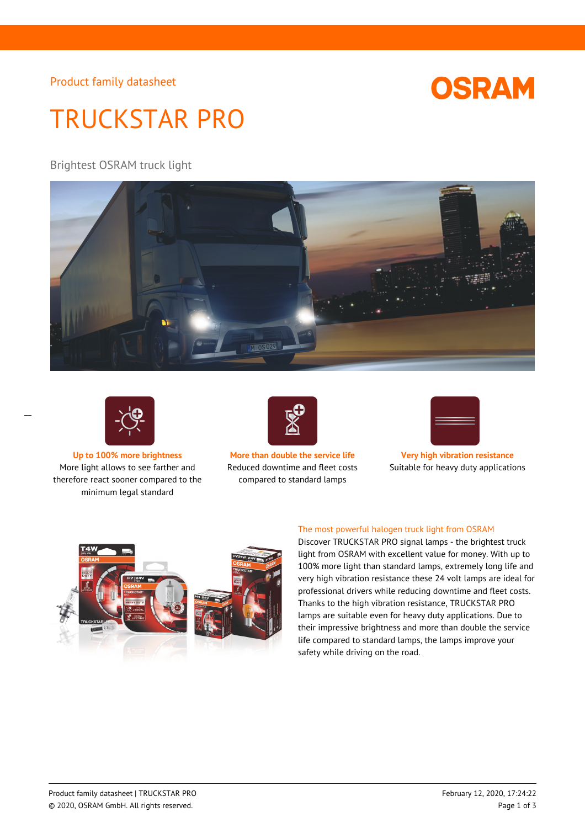Product family datasheet

# **OSRAM**

# TRUCKSTAR PRO

Brightest OSRAM truck light





 $\overline{a}$ 

More light allows to see farther and therefore react sooner compared to the minimum legal standard



**Up to 100% more brightness More than double the service life Very high vibration resistance** Reduced downtime and fleet costs compared to standard lamps



Suitable for heavy duty applications



### The most powerful halogen truck light from OSRAM

Discover TRUCKSTAR PRO signal lamps - the brightest truck light from OSRAM with excellent value for money. With up to 100% more light than standard lamps, extremely long life and very high vibration resistance these 24 volt lamps are ideal for professional drivers while reducing downtime and fleet costs. Thanks to the high vibration resistance, TRUCKSTAR PRO lamps are suitable even for heavy duty applications. Due to their impressive brightness and more than double the service life compared to standard lamps, the lamps improve your safety while driving on the road.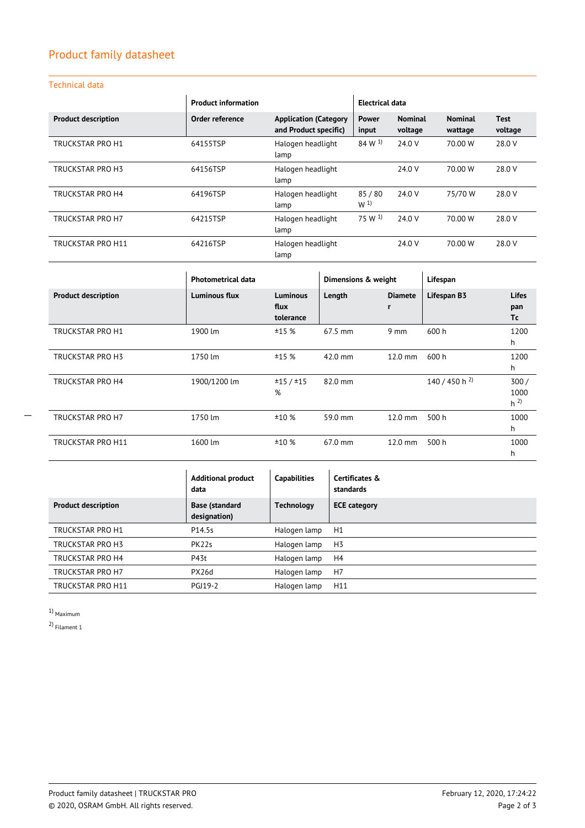# Product family datasheet

## Technical data

|                            | <b>Product information</b> |                                                       | Electrical data         |                           |                           |                        |
|----------------------------|----------------------------|-------------------------------------------------------|-------------------------|---------------------------|---------------------------|------------------------|
| <b>Product description</b> | Order reference            | <b>Application (Category</b><br>and Product specific) | <b>Power</b><br>input   | <b>Nominal</b><br>voltage | <b>Nominal</b><br>wattage | <b>Test</b><br>voltage |
| <b>TRUCKSTAR PRO H1</b>    | 64155TSP                   | Halogen headlight<br>lamp                             | $84 \, W^{1}$           | 24.0 V                    | 70.00 W                   | 28.0 V                 |
| <b>TRUCKSTAR PRO H3</b>    | 64156TSP                   | Halogen headlight<br>lamp                             |                         | 24.0 V                    | 70.00 W                   | 28.0 V                 |
| <b>TRUCKSTAR PRO H4</b>    | 64196TSP                   | Halogen headlight<br>lamp                             | 85/80<br>W <sup>1</sup> | 24.0 V                    | 75/70 W                   | 28.0 V                 |
| TRUCKSTAR PRO H7           | 64215TSP                   | Halogen headlight<br>lamp                             | 75 W <sup>1</sup>       | 24.0 V                    | 70.00 W                   | 28.0 V                 |
| <b>TRUCKSTAR PRO H11</b>   | 64216TSP                   | Halogen headlight<br>lamp                             |                         | 24.0 V                    | 70.00 W                   | 28.0 V                 |

|                            | <b>Photometrical data</b> |                                      | Dimensions & weight |                     | Lifespan                  |                                |
|----------------------------|---------------------------|--------------------------------------|---------------------|---------------------|---------------------------|--------------------------------|
| <b>Product description</b> | <b>Luminous flux</b>      | <b>Luminous</b><br>flux<br>tolerance | Length              | <b>Diamete</b><br>r | Lifespan B3               | <b>Lifes</b><br>pan<br>Τc      |
| TRUCKSTAR PRO H1           | 1900 lm                   | ±15%                                 | 67.5 mm             | $9 \text{ mm}$      | 600 h                     | 1200<br>h                      |
| TRUCKSTAR PRO H3           | 1750 lm                   | ±15%                                 | 42.0 mm             | $12.0$ mm           | 600 h                     | 1200<br>h                      |
| TRUCKSTAR PRO H4           | 1900/1200 lm              | ±15/±15<br>%                         | 82.0 mm             |                     | 140 / 450 h <sup>2)</sup> | 300/<br>1000<br>h <sup>2</sup> |
| TRUCKSTAR PRO H7           | 1750 lm                   | ±10%                                 | 59.0 mm             | $12.0$ mm           | 500 h                     | 1000<br>h                      |
| TRUCKSTAR PRO H11          | 1600 lm                   | ±10%                                 | $67.0$ mm           | $12.0 \text{ mm}$   | 500 h                     | 1000<br>h                      |

|                            | <b>Additional product</b><br>data     | <b>Capabilities</b> | Certificates &<br>standards |
|----------------------------|---------------------------------------|---------------------|-----------------------------|
| <b>Product description</b> | <b>Base (standard</b><br>designation) | <b>Technology</b>   | <b>ECE category</b>         |
| TRUCKSTAR PRO H1           | P14.5s                                | Halogen lamp        | H1                          |
| TRUCKSTAR PRO H3           | PK22s                                 | Halogen lamp        | H <sub>3</sub>              |
| TRUCKSTAR PRO H4           | P43t                                  | Halogen lamp        | H4                          |
| TRUCKSTAR PRO H7           | PX26d                                 | Halogen lamp        | H <sub>7</sub>              |
| TRUCKSTAR PRO H11          | <b>PGJ19-2</b>                        | Halogen lamp        | H11                         |

1) Maximum

 $\overline{a}$ 

2) Filament 1